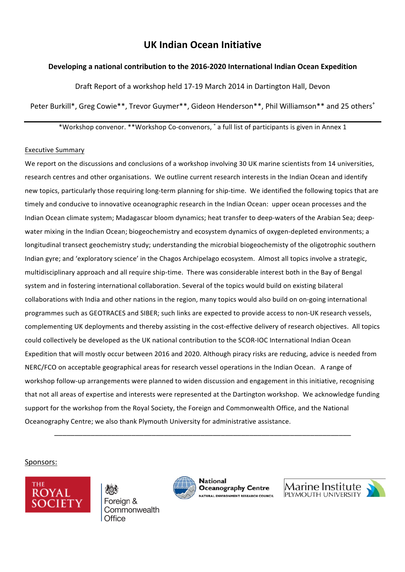# **UK Indian Ocean Initiative**

### **Developing a national contribution to the 2016-2020 International Indian Ocean Expedition**

Draft Report of a workshop held 17-19 March 2014 in Dartington Hall, Devon

Peter Burkill\*, Greg Cowie\*\*, Trevor Guymer\*\*, Gideon Henderson\*\*, Phil Williamson\*\* and 25 others<sup>+</sup>

\*Workshop convenor. \*\*Workshop Co-convenors,  $^*$  a full list of participants is given in Annex 1

#### Executive Summary

We report on the discussions and conclusions of a workshop involving 30 UK marine scientists from 14 universities, research centres and other organisations. We outline current research interests in the Indian Ocean and identify new topics, particularly those requiring long-term planning for ship-time. We identified the following topics that are timely and conducive to innovative oceanographic research in the Indian Ocean: upper ocean processes and the Indian Ocean climate system; Madagascar bloom dynamics; heat transfer to deep-waters of the Arabian Sea; deepwater mixing in the Indian Ocean; biogeochemistry and ecosystem dynamics of oxygen-depleted environments; a longitudinal transect geochemistry study; understanding the microbial biogeochemisty of the oligotrophic southern Indian gyre; and 'exploratory science' in the Chagos Archipelago ecosystem. Almost all topics involve a strategic, multidisciplinary approach and all require ship-time. There was considerable interest both in the Bay of Bengal system and in fostering international collaboration. Several of the topics would build on existing bilateral collaborations with India and other nations in the region, many topics would also build on on-going international programmes such as GEOTRACES and SIBER; such links are expected to provide access to non-UK research vessels, complementing UK deployments and thereby assisting in the cost-effective delivery of research objectives. All topics could collectively be developed as the UK national contribution to the SCOR-IOC International Indian Ocean Expedition that will mostly occur between 2016 and 2020. Although piracy risks are reducing, advice is needed from NERC/FCO on acceptable geographical areas for research vessel operations in the Indian Ocean. A range of workshop follow-up arrangements were planned to widen discussion and engagement in this initiative, recognising that not all areas of expertise and interests were represented at the Dartington workshop. We acknowledge funding support for the workshop from the Royal Society, the Foreign and Commonwealth Office, and the National Oceanography Centre; we also thank Plymouth University for administrative assistance.

\_\_\_\_\_\_\_\_\_\_\_\_\_\_\_\_\_\_\_\_\_\_\_\_\_\_\_\_\_\_\_\_\_\_\_\_\_\_\_\_\_\_\_\_\_\_\_\_\_\_\_\_\_\_\_\_\_\_\_\_\_\_\_\_\_\_\_\_\_\_\_\_\_

### Sponsors:



Foreian & Commonwealth Office



**National Oceanography Centre NATURAL ENVIRONMENT RESEARCH COUNCIL** 

Marine Institute PLYMOUTH UNIVERSITY

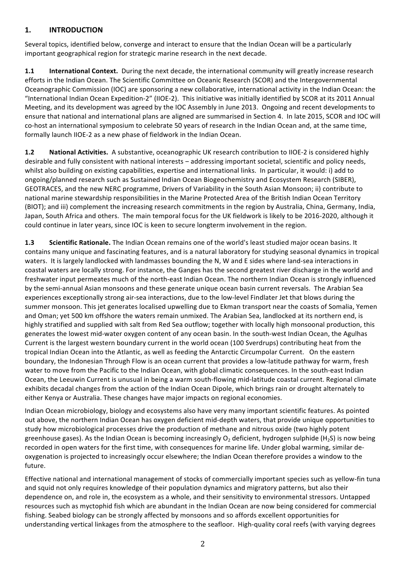### **1. INTRODUCTION**

Several topics, identified below, converge and interact to ensure that the Indian Ocean will be a particularly important geographical region for strategic marine research in the next decade.

**1.1 International Context.** During the next decade, the international community will greatly increase research efforts in the Indian Ocean. The Scientific Committee on Oceanic Research (SCOR) and the Intergovernmental Oceanographic Commission (IOC) are sponsoring a new collaborative, international activity in the Indian Ocean: the "International Indian Ocean Expedition-2" (IIOE-2). This initiative was initially identified by SCOR at its 2011 Annual Meeting, and its development was agreed by the IOC Assembly in June 2013. Ongoing and recent developments to ensure that national and international plans are aligned are summarised in Section 4. In late 2015, SCOR and IOC will co-host an international symposium to celebrate 50 years of research in the Indian Ocean and, at the same time, formally launch IIOE-2 as a new phase of fieldwork in the Indian Ocean.

**1.2 National Activities.** A substantive, oceanographic UK research contribution to IIOE-2 is considered highly desirable and fully consistent with national interests – addressing important societal, scientific and policy needs, whilst also building on existing capabilities, expertise and international links. In particular, it would: i) add to ongoing/planned research such as Sustained Indian Ocean Biogeochemistry and Ecosystem Research (SIBER), GEOTRACES, and the new NERC programme, Drivers of Variability in the South Asian Monsoon; ii) contribute to national marine stewardship responsibilities in the Marine Protected Area of the British Indian Ocean Territory (BIOT); and iii) complement the increasing research commitments in the region by Australia, China, Germany, India, Japan, South Africa and others. The main temporal focus for the UK fieldwork is likely to be 2016-2020, although it could continue in later years, since IOC is keen to secure longterm involvement in the region.

**1.3 Scientific Rationale.** The Indian Ocean remains one of the world's least studied major ocean basins. It contains many unique and fascinating features, and is a natural laboratory for studying seasonal dynamics in tropical waters. It is largely landlocked with landmasses bounding the N, W and E sides where land-sea interactions in coastal waters are locally strong. For instance, the Ganges has the second greatest river discharge in the world and freshwater input permeates much of the north-east Indian Ocean. The northern Indian Ocean is strongly influenced by the semi-annual Asian monsoons and these generate unique ocean basin current reversals. The Arabian Sea experiences exceptionally strong air-sea interactions, due to the low-level Findlater Jet that blows during the summer monsoon. This jet generates localised upwelling due to Ekman transport near the coasts of Somalia, Yemen and Oman; yet 500 km offshore the waters remain unmixed. The Arabian Sea, landlocked at its northern end, is highly stratified and supplied with salt from Red Sea outflow; together with locally high monsoonal production, this generates the lowest mid-water oxygen content of any ocean basin. In the south-west Indian Ocean, the Agulhas Current is the largest western boundary current in the world ocean (100 Sverdrups) contributing heat from the tropical Indian Ocean into the Atlantic, as well as feeding the Antarctic Circumpolar Current. On the eastern boundary, the Indonesian Through Flow is an ocean current that provides a low-latitude pathway for warm, fresh water to move from the Pacific to the Indian Ocean, with global climatic consequences. In the south-east Indian Ocean, the Leeuwin Current is unusual in being a warm south-flowing mid-latitude coastal current. Regional climate exhibits decadal changes from the action of the Indian Ocean Dipole, which brings rain or drought alternately to either Kenya or Australia. These changes have major impacts on regional economies.

Indian Ocean microbiology, biology and ecosystems also have very many important scientific features. As pointed out above, the northern Indian Ocean has oxygen deficient mid-depth waters, that provide unique opportunities to study how microbiological processes drive the production of methane and nitrous oxide (two highly potent greenhouse gases). As the Indian Ocean is becoming increasingly O<sub>2</sub> deficient, hydrogen sulphide (H<sub>2</sub>S) is now being recorded in open waters for the first time, with consequences for marine life. Under global warming, similar deoxygenation is projected to increasingly occur elsewhere; the Indian Ocean therefore provides a window to the future. 

Effective national and international management of stocks of commercially important species such as yellow-fin tuna and squid not only requires knowledge of their population dynamics and migratory patterns, but also their dependence on, and role in, the ecosystem as a whole, and their sensitivity to environmental stressors. Untapped resources such as myctophid fish which are abundant in the Indian Ocean are now being considered for commercial fishing. Seabed biology can be strongly affected by monsoons and so affords excellent opportunities for understanding vertical linkages from the atmosphere to the seafloor. High-quality coral reefs (with varying degrees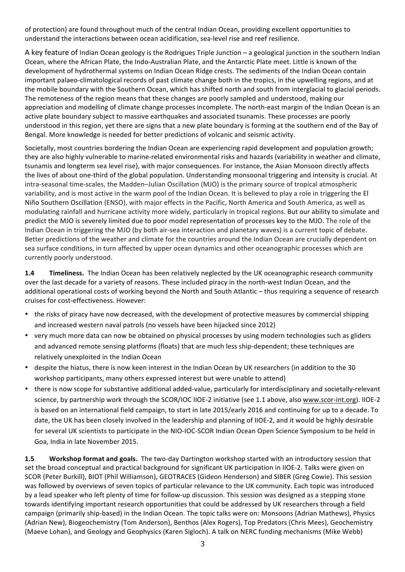of protection) are found throughout much of the central Indian Ocean, providing excellent opportunities to understand the interactions between ocean acidification, sea-level rise and reef resilience.

A key feature of Indian Ocean geology is the Rodrigues Triple Junction – a geological junction in the southern Indian Ocean, where the African Plate, the Indo-Australian Plate, and the Antarctic Plate meet. Little is known of the development of hydrothermal systems on Indian Ocean Ridge crests. The sediments of the Indian Ocean contain important palaeo-climatological records of past climate change both in the tropics, in the upwelling regions, and at the mobile boundary with the Southern Ocean, which has shifted north and south from interglacial to glacial periods. The remoteness of the region means that these changes are poorly sampled and understood, making our appreciation and modelling of climate change processes incomplete. The north-east margin of the Indian Ocean is an active plate boundary subject to massive earthquakes and associated tsunamis. These processes are poorly understood in this region, yet there are signs that a new plate boundary is forming at the southern end of the Bay of Bengal. More knowledge is needed for better predictions of volcanic and seismic activity.

Societally, most countries bordering the Indian Ocean are experiencing rapid development and population growth; they are also highly vulnerable to marine-related environmental risks and hazards (variability in weather and climate, tsunamis and longterm sea level rise), with major consequences. For instance, the Asian Monsoon directly affects the lives of about one-third of the global population. Understanding monsoonal triggering and intensity is crucial. At intra-seasonal time-scales, the Madden–Julian Oscillation (MJO) is the primary source of tropical atmospheric variability, and is most active in the warm pool of the Indian Ocean. It is believed to play a role in triggering the El Niño Southern Oscillation (ENSO), with major effects in the Pacific, North America and South America, as well as modulating rainfall and hurricane activity more widely, particularly in tropical regions. But our ability to simulate and predict the MJO is severely limited due to poor model representation of processes key to the MJO. The role of the Indian Ocean in triggering the MJO (by both air-sea interaction and planetary waves) is a current topic of debate. Better predictions of the weather and climate for the countries around the Indian Ocean are crucially dependent on sea surface conditions, in turn affected by upper ocean dynamics and other oceanographic processes which are currently poorly understood.

**1.4 Timeliness.** The Indian Ocean has been relatively neglected by the UK oceanographic research community over the last decade for a variety of reasons. These included piracy in the north-west Indian Ocean, and the additional operational costs of working beyond the North and South Atlantic – thus requiring a sequence of research cruises for cost-effectiveness. However:

- the risks of piracy have now decreased, with the development of protective measures by commercial shipping and increased western naval patrols (no vessels have been hijacked since 2012)
- very much more data can now be obtained on physical processes by using modern technologies such as gliders and advanced remote sensing platforms (floats) that are much less ship-dependent; these techniques are relatively unexploited in the Indian Ocean
- despite the hiatus, there is now keen interest in the Indian Ocean by UK researchers (in addition to the 30 workshop participants, many others expressed interest but were unable to attend)
- there is now scope for substantive additional added-value, particularly for interdisciplinary and societally-relevant science, by partnership work through the SCOR/IOC IIOE-2 initiative (see 1.1 above, also www.scor-int.org). IIOE-2 is based on an international field campaign, to start in late 2015/early 2016 and continuing for up to a decade. To date, the UK has been closely involved in the leadership and planning of IIOE-2, and it would be highly desirable for several UK scientists to participate in the NIO-IOC-SCOR Indian Ocean Open Science Symposium to be held in Goa, India in late November 2015.

**1.5 Workshop format and goals.** The two-day Dartington workshop started with an introductory session that set the broad conceptual and practical background for significant UK participation in IIOE-2. Talks were given on SCOR (Peter Burkill), BIOT (Phil Williamson), GEOTRACES (Gideon Henderson) and SIBER (Greg Cowie). This session was followed by overviews of seven topics of particular relevance to the UK community. Each topic was introduced by a lead speaker who left plenty of time for follow-up discussion. This session was designed as a stepping stone towards identifying important research opportunities that could be addressed by UK researchers through a field campaign (primarily ship-based) in the Indian Ocean. The topic talks were on: Monsoons (Adrian Mathews), Physics (Adrian New), Biogeochemistry (Tom Anderson), Benthos (Alex Rogers), Top Predators (Chris Mees), Geochemistry (Maeve Lohan), and Geology and Geophysics (Karen Sigloch). A talk on NERC funding mechanisms (Mike Webb)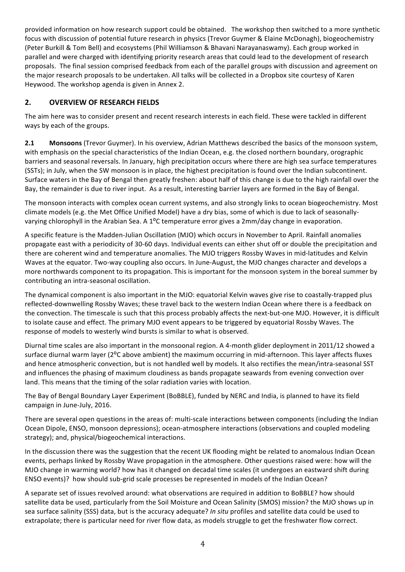provided information on how research support could be obtained. The workshop then switched to a more synthetic focus with discussion of potential future research in physics (Trevor Guymer & Elaine McDonagh), biogeochemistry (Peter Burkill & Tom Bell) and ecosystems (Phil Williamson & Bhavani Narayanaswamy). Each group worked in parallel and were charged with identifying priority research areas that could lead to the development of research proposals. The final session comprised feedback from each of the parallel groups with discussion and agreement on the major research proposals to be undertaken. All talks will be collected in a Dropbox site courtesy of Karen Heywood. The workshop agenda is given in Annex 2.

# **2. OVERVIEW OF RESEARCH FIELDS**

The aim here was to consider present and recent research interests in each field. These were tackled in different ways by each of the groups.

**2.1 Monsoons** (Trevor Guymer). In his overview, Adrian Matthews described the basics of the monsoon system, with emphasis on the special characteristics of the Indian Ocean, e.g. the closed northern boundary, orographic barriers and seasonal reversals. In January, high precipitation occurs where there are high sea surface temperatures (SSTs); in July, when the SW monsoon is in place, the highest precipitation is found over the Indian subcontinent. Surface waters in the Bay of Bengal then greatly freshen: about half of this change is due to the high rainfall over the Bay, the remainder is due to river input. As a result, interesting barrier layers are formed in the Bay of Bengal.

The monsoon interacts with complex ocean current systems, and also strongly links to ocean biogeochemistry. Most climate models (e.g. the Met Office Unified Model) have a dry bias, some of which is due to lack of seasonallyvarying chlorophyll in the Arabian Sea. A 1<sup>o</sup>C temperature error gives a 2mm/day change in evaporation.

A specific feature is the Madden-Julian Oscillation (MJO) which occurs in November to April. Rainfall anomalies propagate east with a periodicity of 30-60 days. Individual events can either shut off or double the precipitation and there are coherent wind and temperature anomalies. The MJO triggers Rossby Waves in mid-latitudes and Kelvin Waves at the equator. Two-way coupling also occurs. In June-August, the MJO changes character and develops a more northwards component to its propagation. This is important for the monsoon system in the boreal summer by contributing an intra-seasonal oscillation.

The dynamical component is also important in the MJO: equatorial Kelvin waves give rise to coastally-trapped plus reflected-downwelling Rossby Waves; these travel back to the western Indian Ocean where there is a feedback on the convection. The timescale is such that this process probably affects the next-but-one MJO. However, it is difficult to isolate cause and effect. The primary MJO event appears to be triggered by equatorial Rossby Waves. The response of models to westerly wind bursts is similar to what is observed.

Diurnal time scales are also important in the monsoonal region. A 4-month glider deployment in 2011/12 showed a surface diurnal warm layer (2<sup>o</sup>C above ambient) the maximum occurring in mid-afternoon. This layer affects fluxes and hence atmospheric convection, but is not handled well by models. It also rectifies the mean/intra-seasonal SST and influences the phasing of maximum cloudiness as bands propagate seawards from evening convection over land. This means that the timing of the solar radiation varies with location.

The Bay of Bengal Boundary Layer Experiment (BoBBLE), funded by NERC and India, is planned to have its field campaign in June-July, 2016.

There are several open questions in the areas of: multi-scale interactions between components (including the Indian Ocean Dipole, ENSO, monsoon depressions); ocean-atmosphere interactions (observations and coupled modeling strategy); and, physical/biogeochemical interactions.

In the discussion there was the suggestion that the recent UK flooding might be related to anomalous Indian Ocean events, perhaps linked by Rossby Wave propagation in the atmosphere. Other questions raised were: how will the MJO change in warming world? how has it changed on decadal time scales (it undergoes an eastward shift during ENSO events)? how should sub-grid scale processes be represented in models of the Indian Ocean?

A separate set of issues revolved around: what observations are required in addition to BoBBLE? how should satellite data be used, particularly from the Soil Moisture and Ocean Salinity (SMOS) mission? the MJO shows up in sea surface salinity (SSS) data, but is the accuracy adequate? *In situ* profiles and satellite data could be used to extrapolate; there is particular need for river flow data, as models struggle to get the freshwater flow correct.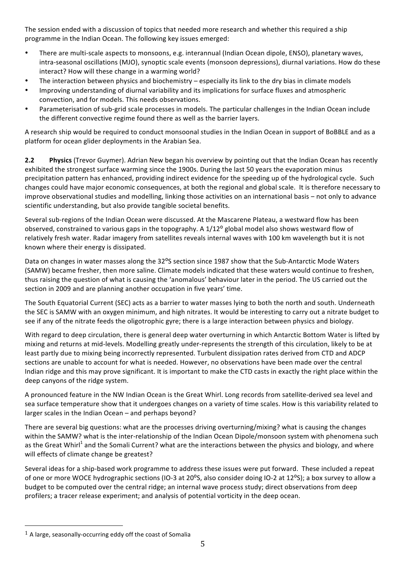The session ended with a discussion of topics that needed more research and whether this required a ship programme in the Indian Ocean. The following key issues emerged:

- There are multi-scale aspects to monsoons, e.g. interannual (Indian Ocean dipole, ENSO), planetary waves, intra-seasonal oscillations (MJO), synoptic scale events (monsoon depressions), diurnal variations. How do these interact? How will these change in a warming world?
- The interaction between physics and biochemistry  $-$  especially its link to the dry bias in climate models
- Improving understanding of diurnal variability and its implications for surface fluxes and atmospheric convection, and for models. This needs observations.
- Parameterisation of sub-grid scale processes in models. The particular challenges in the Indian Ocean include the different convective regime found there as well as the barrier layers.

A research ship would be required to conduct monsoonal studies in the Indian Ocean in support of BoBBLE and as a platform for ocean glider deployments in the Arabian Sea.

**2.2 Physics** (Trevor Guymer). Adrian New began his overview by pointing out that the Indian Ocean has recently exhibited the strongest surface warming since the 1900s. During the last 50 years the evaporation minus precipitation pattern has enhanced, providing indirect evidence for the speeding up of the hydrological cycle. Such changes could have major economic consequences, at both the regional and global scale. It is therefore necessary to improve observational studies and modelling, linking those activities on an international basis - not only to advance scientific understanding, but also provide tangible societal benefits.

Several sub-regions of the Indian Ocean were discussed. At the Mascarene Plateau, a westward flow has been observed, constrained to various gaps in the topography. A 1/12<sup>o</sup> global model also shows westward flow of relatively fresh water. Radar imagery from satellites reveals internal waves with 100 km wavelength but it is not known where their energy is dissipated.

Data on changes in water masses along the 32°S section since 1987 show that the Sub-Antarctic Mode Waters (SAMW) became fresher, then more saline. Climate models indicated that these waters would continue to freshen, thus raising the question of what is causing the 'anomalous' behaviour later in the period. The US carried out the section in 2009 and are planning another occupation in five years' time.

The South Equatorial Current (SEC) acts as a barrier to water masses lying to both the north and south. Underneath the SEC is SAMW with an oxygen minimum, and high nitrates. It would be interesting to carry out a nitrate budget to see if any of the nitrate feeds the oligotrophic gyre; there is a large interaction between physics and biology.

With regard to deep circulation, there is general deep water overturning in which Antarctic Bottom Water is lifted by mixing and returns at mid-levels. Modelling greatly under-represents the strength of this circulation, likely to be at least partly due to mixing being incorrectly represented. Turbulent dissipation rates derived from CTD and ADCP sections are unable to account for what is needed. However, no observations have been made over the central Indian ridge and this may prove significant. It is important to make the CTD casts in exactly the right place within the deep canyons of the ridge system.

A pronounced feature in the NW Indian Ocean is the Great Whirl. Long records from satellite-derived sea level and sea surface temperature show that it undergoes changes on a variety of time scales. How is this variability related to larger scales in the Indian Ocean  $-$  and perhaps beyond?

There are several big questions: what are the processes driving overturning/mixing? what is causing the changes within the SAMW? what is the inter-relationship of the Indian Ocean Dipole/monsoon system with phenomena such as the Great Whirl<sup>1</sup> and the Somali Current? what are the interactions between the physics and biology, and where will effects of climate change be greatest?

Several ideas for a ship-based work programme to address these issues were put forward. These included a repeat of one or more WOCE hydrographic sections (IO-3 at 20<sup>o</sup>S, also consider doing IO-2 at 12<sup>o</sup>S); a box survey to allow a budget to be computed over the central ridge; an internal wave process study; direct observations from deep profilers; a tracer release experiment; and analysis of potential vorticity in the deep ocean.

 

 $1$  A large, seasonally-occurring eddy off the coast of Somalia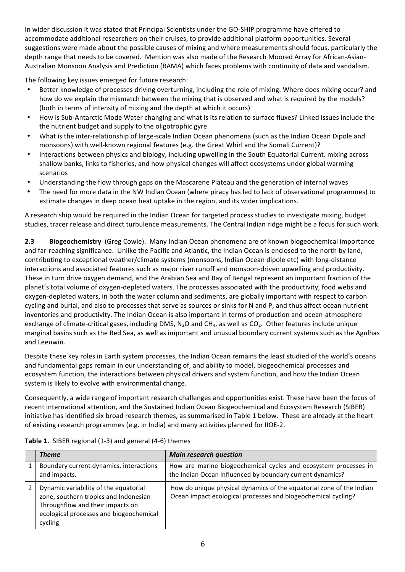In wider discussion it was stated that Principal Scientists under the GO-SHIP programme have offered to accommodate additional researchers on their cruises, to provide additional platform opportunities. Several suggestions were made about the possible causes of mixing and where measurements should focus, particularly the depth range that needs to be covered. Mention was also made of the Research Moored Array for African-Asian-Australian Monsoon Analysis and Prediction (RAMA) which faces problems with continuity of data and vandalism.

The following key issues emerged for future research:

- Better knowledge of processes driving overturning, including the role of mixing. Where does mixing occur? and how do we explain the mismatch between the mixing that is observed and what is required by the models? (both in terms of intensity of mixing and the depth at which it occurs)
- How is Sub-Antarctic Mode Water changing and what is its relation to surface fluxes? Linked issues include the the nutrient budget and supply to the oligotrophic gyre
- What is the inter-relationship of large-scale Indian Ocean phenomena (such as the Indian Ocean Dipole and monsoons) with well-known regional features (e.g. the Great Whirl and the Somali Current)?
- Interactions between physics and biology, including upwelling in the South Equatorial Current. mixing across shallow banks, links to fisheries, and how physical changes will affect ecosystems under global warming scenarios
- Understanding the flow through gaps on the Mascarene Plateau and the generation of internal waves
- The need for more data in the NW Indian Ocean (where piracy has led to lack of observational programmes) to estimate changes in deep ocean heat uptake in the region, and its wider implications.

A research ship would be required in the Indian Ocean for targeted process studies to investigate mixing, budget studies, tracer release and direct turbulence measurements. The Central Indian ridge might be a focus for such work.

**2.3 Biogeochemistry** (Greg Cowie). Many Indian Ocean phenomena are of known biogeochemical importance and far-reaching significance. Unlike the Pacific and Atlantic, the Indian Ocean is enclosed to the north by land, contributing to exceptional weather/climate systems (monsoons, Indian Ocean dipole etc) with long-distance interactions and associated features such as major river runoff and monsoon-driven upwelling and productivity. These in turn drive oxygen demand, and the Arabian Sea and Bay of Bengal represent an important fraction of the planet's total volume of oxygen-depleted waters. The processes associated with the productivity, food webs and oxygen-depleted waters, in both the water column and sediments, are globally important with respect to carbon cycling and burial, and also to processes that serve as sources or sinks for N and P, and thus affect ocean nutrient inventories and productivity. The Indian Ocean is also important in terms of production and ocean-atmosphere exchange of climate-critical gases, including DMS, N<sub>2</sub>O and CH<sub>4</sub>, as well as CO<sub>2</sub>. Other features include unique marginal basins such as the Red Sea, as well as important and unusual boundary current systems such as the Agulhas and Leeuwin.

Despite these key roles in Earth system processes, the Indian Ocean remains the least studied of the world's oceans and fundamental gaps remain in our understanding of, and ability to model, biogeochemical processes and ecosystem function, the interactions between physical drivers and system function, and how the Indian Ocean system is likely to evolve with environmental change.

Consequently, a wide range of important research challenges and opportunities exist. These have been the focus of recent international attention, and the Sustained Indian Ocean Biogeochemical and Ecosystem Research (SIBER) initiative has identified six broad research themes, as summarised in Table 1 below. These are already at the heart of existing research programmes (e.g. in India) and many activities planned for IIOE-2.

| <b>Theme</b>                                                                                                                                                             | <b>Main research question</b>                                                                                                         |
|--------------------------------------------------------------------------------------------------------------------------------------------------------------------------|---------------------------------------------------------------------------------------------------------------------------------------|
| Boundary current dynamics, interactions<br>and impacts.                                                                                                                  | How are marine biogeochemical cycles and ecosystem processes in<br>the Indian Ocean influenced by boundary current dynamics?          |
| Dynamic variability of the equatorial<br>zone, southern tropics and Indonesian<br>Throughflow and their impacts on<br>ecological processes and biogeochemical<br>cycling | How do unique physical dynamics of the equatorial zone of the Indian<br>Ocean impact ecological processes and biogeochemical cycling? |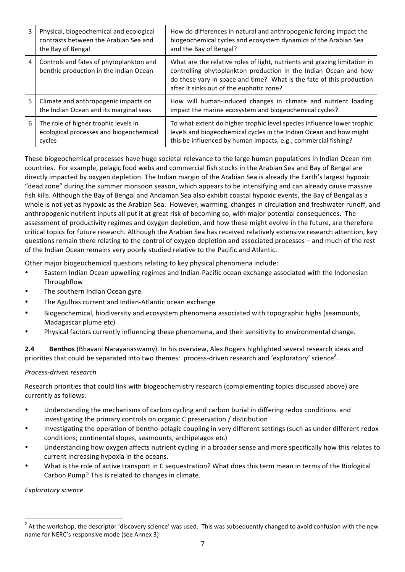| 3 | Physical, biogeochemical and ecological<br>contrasts between the Arabian Sea and<br>the Bay of Bengal | How do differences in natural and anthropogenic forcing impact the<br>biogeochemical cycles and ecosystem dynamics of the Arabian Sea<br>and the Bay of Bengal?                                                                                                   |
|---|-------------------------------------------------------------------------------------------------------|-------------------------------------------------------------------------------------------------------------------------------------------------------------------------------------------------------------------------------------------------------------------|
| 4 | Controls and fates of phytoplankton and<br>benthic production in the Indian Ocean                     | What are the relative roles of light, nutrients and grazing limitation in<br>controlling phytoplankton production in the Indian Ocean and how<br>do these vary in space and time? What is the fate of this production<br>after it sinks out of the euphotic zone? |
| 5 | Climate and anthropogenic impacts on<br>the Indian Ocean and its marginal seas                        | How will human-induced changes in climate and nutrient loading<br>impact the marine ecosystem and biogeochemical cycles?                                                                                                                                          |
| 6 | The role of higher trophic levels in<br>ecological processes and biogeochemical<br>cycles             | To what extent do higher trophic level species influence lower trophic<br>levels and biogeochemical cycles in the Indian Ocean and how might<br>this be influenced by human impacts, e.g., commercial fishing?                                                    |

These biogeochemical processes have huge societal relevance to the large human populations in Indian Ocean rim countries. For example, pelagic food webs and commercial fish stocks in the Arabian Sea and Bay of Bengal are directly impacted by oxygen depletion. The Indian margin of the Arabian Sea is already the Earth's largest hypoxic "dead zone" during the summer monsoon season, which appears to be intensifying and can already cause massive fish kills. Although the Bay of Bengal and Andaman Sea also exhibit coastal hypoxic events, the Bay of Bengal as a whole is not yet as hypoxic as the Arabian Sea. However, warming, changes in circulation and freshwater runoff, and anthropogenic nutrient inputs all put it at great risk of becoming so, with major potential consequences. The assessment of productivity regimes and oxygen depletion, and how these might evolve in the future, are therefore critical topics for future research. Although the Arabian Sea has received relatively extensive research attention, key questions remain there relating to the control of oxygen depletion and associated processes – and much of the rest of the Indian Ocean remains very poorly studied relative to the Pacific and Atlantic.

Other major biogeochemical questions relating to key physical phenomena include:

- Eastern Indian Ocean upwelling regimes and Indian-Pacific ocean exchange associated with the Indonesian **Throughflow**
- The southern Indian Ocean gyre
- The Agulhas current and Indian-Atlantic ocean exchange
- Biogeochemical, biodiversity and ecosystem phenomena associated with topographic highs (seamounts, Madagascar plume etc)
- Physical factors currently influencing these phenomena, and their sensitivity to environmental change.

**2.4 Benthos** (Bhavani Narayanaswamy). In his overview, Alex Rogers highlighted several research ideas and priorities that could be separated into two themes: process-driven research and 'exploratory' science<sup>2</sup>.

#### *Process-driven research*

Research priorities that could link with biogeochemistry research (complementing topics discussed above) are currently as follows:

- Understanding the mechanisms of carbon cycling and carbon burial in differing redox conditions and investigating the primary controls on organic C preservation / distribution
- Investigating the operation of bentho-pelagic coupling in very different settings (such as under different redox conditions; continental slopes, seamounts, archipelagos etc)
- Understanding how oxygen affects nutrient cycling in a broader sense and more specifically how this relates to current increasing hypoxia in the oceans.
- What is the role of active transport in C sequestration? What does this term mean in terms of the Biological Carbon Pump? This is related to changes in climate.

*Exploratory science*

 $2$  At the workshop, the descriptor 'discovery science' was used. This was subsequently changed to avoid confusion with the new name for NERC's responsive mode (see Annex 3)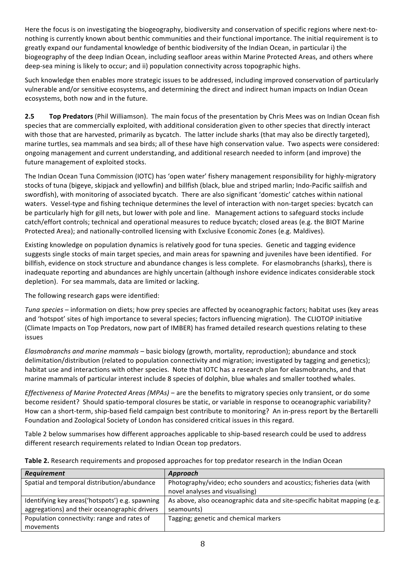Here the focus is on investigating the biogeography, biodiversity and conservation of specific regions where next-tonothing is currently known about benthic communities and their functional importance. The initial requirement is to greatly expand our fundamental knowledge of benthic biodiversity of the Indian Ocean, in particular i) the biogeography of the deep Indian Ocean, including seafloor areas within Marine Protected Areas, and others where deep-sea mining is likely to occur; and ii) population connectivity across topographic highs.

Such knowledge then enables more strategic issues to be addressed, including improved conservation of particularly vulnerable and/or sensitive ecosystems, and determining the direct and indirect human impacts on Indian Ocean ecosystems, both now and in the future.

**2.5 Top Predators** (Phil Williamson). The main focus of the presentation by Chris Mees was on Indian Ocean fish species that are commercially exploited, with additional consideration given to other species that directly interact with those that are harvested, primarily as bycatch. The latter include sharks (that may also be directly targeted), marine turtles, sea mammals and sea birds; all of these have high conservation value. Two aspects were considered: ongoing management and current understanding, and additional research needed to inform (and improve) the future management of exploited stocks.

The Indian Ocean Tuna Commission (IOTC) has 'open water' fishery management responsibility for highly-migratory stocks of tuna (bigeye, skipjack and yellowfin) and billfish (black, blue and striped marlin; Indo-Pacific sailfish and swordfish), with monitoring of associated bycatch. There are also significant 'domestic' catches within national waters. Vessel-type and fishing technique determines the level of interaction with non-target species: bycatch can be particularly high for gill nets, but lower with pole and line. Management actions to safeguard stocks include catch/effort controls; technical and operational measures to reduce bycatch; closed areas (e.g. the BIOT Marine Protected Area); and nationally-controlled licensing with Exclusive Economic Zones (e.g. Maldives).

Existing knowledge on population dynamics is relatively good for tuna species. Genetic and tagging evidence suggests single stocks of main target species, and main areas for spawning and juveniles have been identified. For billfish, evidence on stock structure and abundance changes is less complete. For elasmobranchs (sharks), there is inadequate reporting and abundances are highly uncertain (although inshore evidence indicates considerable stock depletion). For sea mammals, data are limited or lacking.

The following research gaps were identified:

*Tuna species* – information on diets; how prey species are affected by oceanographic factors; habitat uses (key areas and 'hotspot' sites of high importance to several species; factors influencing migration). The CLIOTOP initiative (Climate Impacts on Top Predators, now part of IMBER) has framed detailed research questions relating to these issues

*Elasmobranchs and marine mammals* – basic biology (growth, mortality, reproduction); abundance and stock delimitation/distribution (related to population connectivity and migration; investigated by tagging and genetics); habitat use and interactions with other species. Note that IOTC has a research plan for elasmobranchs, and that marine mammals of particular interest include 8 species of dolphin, blue whales and smaller toothed whales.

*Effectiveness of Marine Protected Areas (MPAs)* – are the benefits to migratory species only transient, or do some become resident? Should spatio-temporal closures be static, or variable in response to oceanographic variability? How can a short-term, ship-based field campaign best contribute to monitoring? An in-press report by the Bertarelli Foundation and Zoological Society of London has considered critical issues in this regard.

Table 2 below summarises how different approaches applicable to ship-based research could be used to address different research requirements related to Indian Ocean top predators.

| <b>Requirement</b>                              | Approach                                                                  |  |
|-------------------------------------------------|---------------------------------------------------------------------------|--|
| Spatial and temporal distribution/abundance     | Photography/video; echo sounders and acoustics; fisheries data (with      |  |
|                                                 | novel analyses and visualising)                                           |  |
| Identifying key areas('hotspots') e.g. spawning | As above, also oceanographic data and site-specific habitat mapping (e.g. |  |
| aggregations) and their oceanographic drivers   | seamounts)                                                                |  |
| Population connectivity: range and rates of     | Tagging; genetic and chemical markers                                     |  |
| movements                                       |                                                                           |  |

### **Table 2.** Research requirements and proposed approaches for top predator research in the Indian Ocean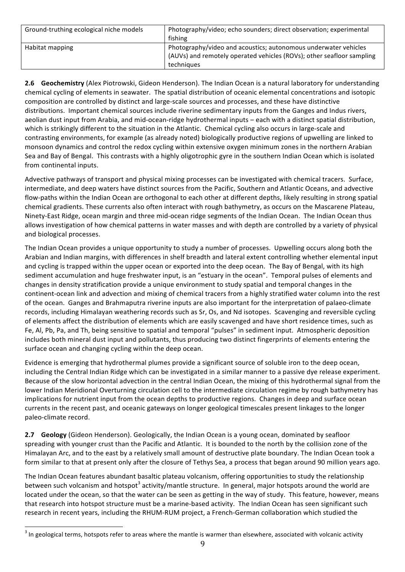| Ground-truthing ecological niche models | Photography/video; echo sounders; direct observation; experimental    |  |
|-----------------------------------------|-----------------------------------------------------------------------|--|
|                                         | fishing                                                               |  |
| Habitat mapping                         | Photography/video and acoustics; autonomous underwater vehicles       |  |
|                                         | (AUVs) and remotely operated vehicles (ROVs); other seafloor sampling |  |
|                                         | techniques                                                            |  |

**2.6 Geochemistry** (Alex Piotrowski, Gideon Henderson). The Indian Ocean is a natural laboratory for understanding chemical cycling of elements in seawater. The spatial distribution of oceanic elemental concentrations and isotopic composition are controlled by distinct and large-scale sources and processes, and these have distinctive distributions. Important chemical sources include riverine sedimentary inputs from the Ganges and Indus rivers, aeolian dust input from Arabia, and mid-ocean-ridge hydrothermal inputs – each with a distinct spatial distribution, which is strikingly different to the situation in the Atlantic. Chemical cycling also occurs in large-scale and contrasting environments, for example (as already noted) biologically productive regions of upwelling are linked to monsoon dynamics and control the redox cycling within extensive oxygen minimum zones in the northern Arabian Sea and Bay of Bengal. This contrasts with a highly oligotrophic gyre in the southern Indian Ocean which is isolated from continental inputs.

Advective pathways of transport and physical mixing processes can be investigated with chemical tracers. Surface, intermediate, and deep waters have distinct sources from the Pacific, Southern and Atlantic Oceans, and advective flow-paths within the Indian Ocean are orthogonal to each other at different depths, likely resulting in strong spatial chemical gradients. These currents also often interact with rough bathymetry, as occurs on the Mascarene Plateau, Ninety-East Ridge, ocean margin and three mid-ocean ridge segments of the Indian Ocean. The Indian Ocean thus allows investigation of how chemical patterns in water masses and with depth are controlled by a variety of physical and biological processes. 

The Indian Ocean provides a unique opportunity to study a number of processes. Upwelling occurs along both the Arabian and Indian margins, with differences in shelf breadth and lateral extent controlling whether elemental input and cycling is trapped within the upper ocean or exported into the deep ocean. The Bay of Bengal, with its high sediment accumulation and huge freshwater input, is an "estuary in the ocean". Temporal pulses of elements and changes in density stratification provide a unique environment to study spatial and temporal changes in the continent-ocean link and advection and mixing of chemical tracers from a highly stratified water column into the rest of the ocean. Ganges and Brahmaputra riverine inputs are also important for the interpretation of palaeo-climate records, including Himalayan weathering records such as Sr, Os, and Nd isotopes. Scavenging and reversible cycling of elements affect the distribution of elements which are easily scavenged and have short residence times, such as Fe, Al, Pb, Pa, and Th, being sensitive to spatial and temporal "pulses" in sediment input. Atmospheric deposition includes both mineral dust input and pollutants, thus producing two distinct fingerprints of elements entering the surface ocean and changing cycling within the deep ocean. 

Evidence is emerging that hydrothermal plumes provide a significant source of soluble iron to the deep ocean, including the Central Indian Ridge which can be investigated in a similar manner to a passive dye release experiment. Because of the slow horizontal advection in the central Indian Ocean, the mixing of this hydrothermal signal from the lower Indian Meridional Overturning circulation cell to the intermediate circulation regime by rough bathymetry has implications for nutrient input from the ocean depths to productive regions. Changes in deep and surface ocean currents in the recent past, and oceanic gateways on longer geological timescales present linkages to the longer paleo-climate record.

**2.7 Geology** (Gideon Henderson). Geologically, the Indian Ocean is a young ocean, dominated by seafloor spreading with younger crust than the Pacific and Atlantic. It is bounded to the north by the collision zone of the Himalayan Arc, and to the east by a relatively small amount of destructive plate boundary. The Indian Ocean took a form similar to that at present only after the closure of Tethys Sea, a process that began around 90 million years ago.

The Indian Ocean features abundant basaltic plateau volcanism, offering opportunities to study the relationship between such volcanism and hotspot<sup>3</sup> activity/mantle structure. In general, major hotspots around the world are located under the ocean, so that the water can be seen as getting in the way of study. This feature, however, means that research into hotspot structure must be a marine-based activity. The Indian Ocean has seen significant such research in recent years, including the RHUM-RUM project, a French-German collaboration which studied the

 $3$  In geological terms, hotspots refer to areas where the mantle is warmer than elsewhere, associated with volcanic activity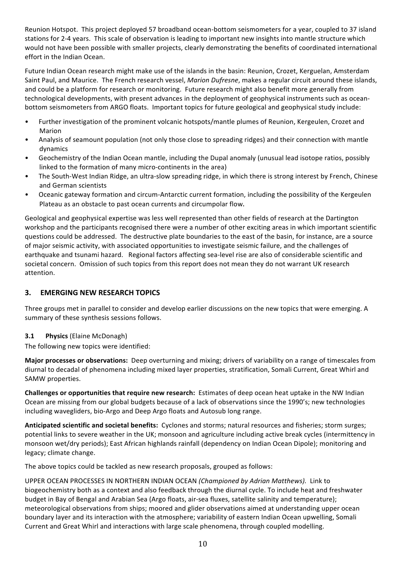Reunion Hotspot. This project deployed 57 broadband ocean-bottom seismometers for a year, coupled to 37 island stations for 2-4 years. This scale of observation is leading to important new insights into mantle structure which would not have been possible with smaller projects, clearly demonstrating the benefits of coordinated international effort in the Indian Ocean. 

Future Indian Ocean research might make use of the islands in the basin: Reunion, Crozet, Kerguelan, Amsterdam Saint Paul, and Maurice. The French research vessel, *Marion Dufresne*, makes a regular circuit around these islands, and could be a platform for research or monitoring. Future research might also benefit more generally from technological developments, with present advances in the deployment of geophysical instruments such as oceanbottom seismometers from ARGO floats. Important topics for future geological and geophysical study include:

- Further investigation of the prominent volcanic hotspots/mantle plumes of Reunion, Kergeulen, Crozet and Marion
- Analysis of seamount population (not only those close to spreading ridges) and their connection with mantle dynamics
- Geochemistry of the Indian Ocean mantle, including the Dupal anomaly (unusual lead isotope ratios, possibly linked to the formation of many micro-continents in the area)
- The South-West Indian Ridge, an ultra-slow spreading ridge, in which there is strong interest by French, Chinese and German scientists
- Oceanic gateway formation and circum-Antarctic current formation, including the possibility of the Kergeulen Plateau as an obstacle to past ocean currents and circumpolar flow.

Geological and geophysical expertise was less well represented than other fields of research at the Dartington workshop and the participants recognised there were a number of other exciting areas in which important scientific questions could be addressed. The destructive plate boundaries to the east of the basin, for instance, are a source of major seismic activity, with associated opportunities to investigate seismic failure, and the challenges of earthquake and tsunami hazard. Regional factors affecting sea-level rise are also of considerable scientific and societal concern. Omission of such topics from this report does not mean they do not warrant UK research attention.

# **3. EMERGING NEW RESEARCH TOPICS**

Three groups met in parallel to consider and develop earlier discussions on the new topics that were emerging. A summary of these synthesis sessions follows.

### **3.1 Physics (Elaine McDonagh)**

The following new topics were identified:

**Major processes or observations:** Deep overturning and mixing; drivers of variability on a range of timescales from diurnal to decadal of phenomena including mixed layer properties, stratification, Somali Current, Great Whirl and SAMW properties.

**Challenges or opportunities that require new research:** Estimates of deep ocean heat uptake in the NW Indian Ocean are missing from our global budgets because of a lack of observations since the 1990's; new technologies including wavegliders, bio-Argo and Deep Argo floats and Autosub long range.

Anticipated scientific and societal benefits: Cyclones and storms; natural resources and fisheries; storm surges; potential links to severe weather in the UK; monsoon and agriculture including active break cycles (intermittency in monsoon wet/dry periods); East African highlands rainfall (dependency on Indian Ocean Dipole); monitoring and legacy; climate change.

The above topics could be tackled as new research proposals, grouped as follows:

UPPER OCEAN PROCESSES IN NORTHERN INDIAN OCEAN *(Championed by Adrian Matthews)*. Link to biogeochemistry both as a context and also feedback through the diurnal cycle. To include heat and freshwater budget in Bay of Bengal and Arabian Sea (Argo floats, air-sea fluxes, satellite salinity and temperature); meteorological observations from ships; moored and glider observations aimed at understanding upper ocean boundary layer and its interaction with the atmosphere; variability of eastern Indian Ocean upwelling, Somali Current and Great Whirl and interactions with large scale phenomena, through coupled modelling.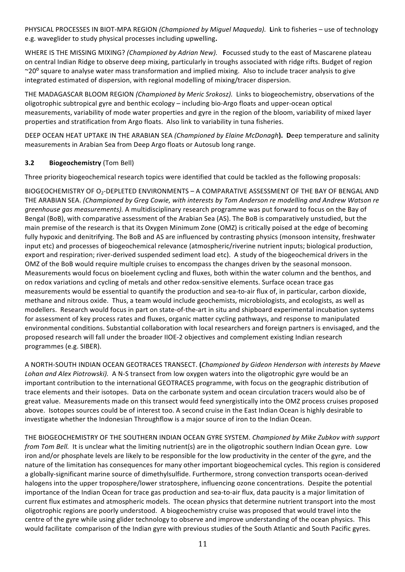PHYSICAL PROCESSES IN BIOT-MPA REGION *(Championed by Miguel Maqueda)*. Link to fisheries – use of technology e.g. waveglider to study physical processes including upwelling.

WHERE IS THE MISSING MIXING? *(Championed by Adrian New).* Focussed study to the east of Mascarene plateau on central Indian Ridge to observe deep mixing, particularly in troughs associated with ridge rifts. Budget of region  $\sim$ 20 $\degree$  square to analyse water mass transformation and implied mixing. Also to include tracer analysis to give integrated estimated of dispersion, with regional modelling of mixing/tracer dispersion.

THE MADAGASCAR BLOOM REGION *(Championed by Meric Srokosz)*. Links to biogeochemistry, observations of the oligotrophic subtropical gyre and benthic ecology – including bio-Argo floats and upper-ocean optical measurements, variability of mode water properties and gyre in the region of the bloom, variability of mixed layer properties and stratification from Argo floats. Also link to variability in tuna fisheries.

DEEP OCEAN HEAT UPTAKE IN THE ARABIAN SEA *(Championed by Elaine McDonagh*). Deep temperature and salinity measurements in Arabian Sea from Deep Argo floats or Autosub long range.

### **3.2 Biogeochemistry** (Tom Bell)

Three priority biogeochemical research topics were identified that could be tackled as the following proposals:

BIOGEOCHEMISTRY OF O<sub>2</sub>-DEPLETED ENVIRONMENTS - A COMPARATIVE ASSESSMENT OF THE BAY OF BENGAL AND THE ARABIAN SEA. *(Championed by Greg Cowie, with interests by Tom Anderson re modelling and Andrew Watson re greenhouse gas measurements).* A multidisciplinary research programme was put forward to focus on the Bay of Bengal (BoB), with comparative assessment of the Arabian Sea (AS). The BoB is comparatively unstudied, but the main premise of the research is that its Oxygen Minimum Zone (OMZ) is critically poised at the edge of becoming fully hypoxic and denitrifying. The BoB and AS are influenced by contrasting physics (monsoon intensity, freshwater input etc) and processes of biogeochemical relevance (atmospheric/riverine nutrient inputs; biological production, export and respiration; river-derived suspended sediment load etc). A study of the biogeochemical drivers in the OMZ of the BoB would require multiple cruises to encompass the changes driven by the seasonal monsoon. Measurements would focus on bioelement cycling and fluxes, both within the water column and the benthos, and on redox variations and cycling of metals and other redox-sensitive elements. Surface ocean trace gas measurements would be essential to quantify the production and sea-to-air flux of, in particular, carbon dioxide, methane and nitrous oxide. Thus, a team would include geochemists, microbiologists, and ecologists, as well as modellers. Research would focus in part on state-of-the-art in situ and shipboard experimental incubation systems for assessment of key process rates and fluxes, organic matter cycling pathways, and response to manipulated environmental conditions. Substantial collaboration with local researchers and foreign partners is envisaged, and the proposed research will fall under the broader IIOE-2 objectives and complement existing Indian research programmes (e.g. SIBER).

A NORTH-SOUTH INDIAN OCEAN GEOTRACES TRANSECT. **(***Championed by Gideon Henderson with interests by Maeve Lohan* and *Alex Piotrowski*). A N-S transect from low oxygen waters into the oligotrophic gyre would be an important contribution to the international GEOTRACES programme, with focus on the geographic distribution of trace elements and their isotopes. Data on the carbonate system and ocean circulation tracers would also be of great value. Measurements made on this transect would feed synergistically into the OMZ process cruises proposed above. Isotopes sources could be of interest too. A second cruise in the East Indian Ocean is highly desirable to investigate whether the Indonesian Throughflow is a major source of iron to the Indian Ocean.

THE BIOGEOCHEMISTRY OF THE SOUTHERN INDIAN OCEAN GYRE SYSTEM. *Championed by Mike Zubkov with support from Tom Bell.* It is unclear what the limiting nutrient(s) are in the oligotrophic southern Indian Ocean gyre. Low iron and/or phosphate levels are likely to be responsible for the low productivity in the center of the gyre, and the nature of the limitation has consequences for many other important biogeochemical cycles. This region is considered a globally-significant marine source of dimethylsulfide. Furthermore, strong convection transports ocean-derived halogens into the upper troposphere/lower stratosphere, influencing ozone concentrations. Despite the potential importance of the Indian Ocean for trace gas production and sea-to-air flux, data paucity is a major limitation of current flux estimates and atmospheric models. The ocean physics that determine nutrient transport into the most oligotrophic regions are poorly understood. A biogeochemistry cruise was proposed that would travel into the centre of the gyre while using glider technology to observe and improve understanding of the ocean physics. This would facilitate comparison of the Indian gyre with previous studies of the South Atlantic and South Pacific gyres.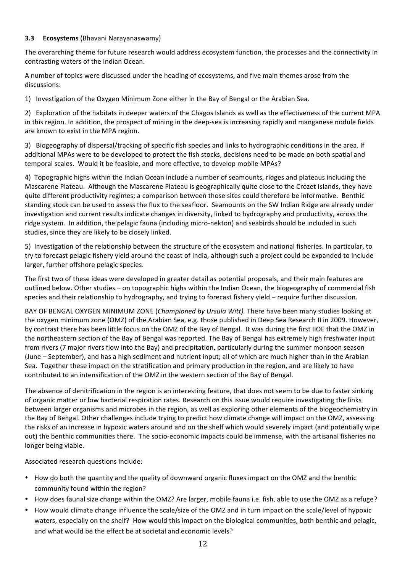### **3.3 Ecosystems** (Bhavani Narayanaswamy)

The overarching theme for future research would address ecosystem function, the processes and the connectivity in contrasting waters of the Indian Ocean.

A number of topics were discussed under the heading of ecosystems, and five main themes arose from the discussions:

1) Investigation of the Oxygen Minimum Zone either in the Bay of Bengal or the Arabian Sea.

2) Exploration of the habitats in deeper waters of the Chagos Islands as well as the effectiveness of the current MPA in this region. In addition, the prospect of mining in the deep-sea is increasing rapidly and manganese nodule fields are known to exist in the MPA region.

3) Biogeography of dispersal/tracking of specific fish species and links to hydrographic conditions in the area. If additional MPAs were to be developed to protect the fish stocks, decisions need to be made on both spatial and temporal scales. Would it be feasible, and more effective, to develop mobile MPAs?

4) Topographic highs within the Indian Ocean include a number of seamounts, ridges and plateaus including the Mascarene Plateau. Although the Mascarene Plateau is geographically quite close to the Crozet Islands, they have quite different productivity regimes; a comparison between those sites could therefore be informative. Benthic standing stock can be used to assess the flux to the seafloor. Seamounts on the SW Indian Ridge are already under investigation and current results indicate changes in diversity, linked to hydrography and productivity, across the ridge system. In addition, the pelagic fauna (including micro-nekton) and seabirds should be included in such studies, since they are likely to be closely linked.

5) Investigation of the relationship between the structure of the ecosystem and national fisheries. In particular, to try to forecast pelagic fishery yield around the coast of India, although such a project could be expanded to include larger, further offshore pelagic species.

The first two of these ideas were developed in greater detail as potential proposals, and their main features are outlined below. Other studies – on topographic highs within the Indian Ocean, the biogeography of commercial fish species and their relationship to hydrography, and trying to forecast fishery yield – require further discussion.

BAY OF BENGAL OXYGEN MINIMUM ZONE (*Championed by Ursula Witt)*. There have been many studies looking at the oxygen minimum zone (OMZ) of the Arabian Sea, e.g. those published in Deep Sea Research II in 2009. However, by contrast there has been little focus on the OMZ of the Bay of Bengal. It was during the first IIOE that the OMZ in the northeastern section of the Bay of Bengal was reported. The Bay of Bengal has extremely high freshwater input from rivers (7 major rivers flow into the Bay) and precipitation, particularly during the summer monsoon season (June – September), and has a high sediment and nutrient input; all of which are much higher than in the Arabian Sea. Together these impact on the stratification and primary production in the region, and are likely to have contributed to an intensification of the OMZ in the western section of the Bay of Bengal.

The absence of denitrification in the region is an interesting feature, that does not seem to be due to faster sinking of organic matter or low bacterial respiration rates. Research on this issue would require investigating the links between larger organisms and microbes in the region, as well as exploring other elements of the biogeochemistry in the Bay of Bengal. Other challenges include trying to predict how climate change will impact on the OMZ, assessing the risks of an increase in hypoxic waters around and on the shelf which would severely impact (and potentially wipe out) the benthic communities there. The socio-economic impacts could be immense, with the artisanal fisheries no longer being viable.

Associated research questions include:

- How do both the quantity and the quality of downward organic fluxes impact on the OMZ and the benthic community found within the region?
- How does faunal size change within the OMZ? Are larger, mobile fauna i.e. fish, able to use the OMZ as a refuge?
- How would climate change influence the scale/size of the OMZ and in turn impact on the scale/level of hypoxic waters, especially on the shelf? How would this impact on the biological communities, both benthic and pelagic, and what would be the effect be at societal and economic levels?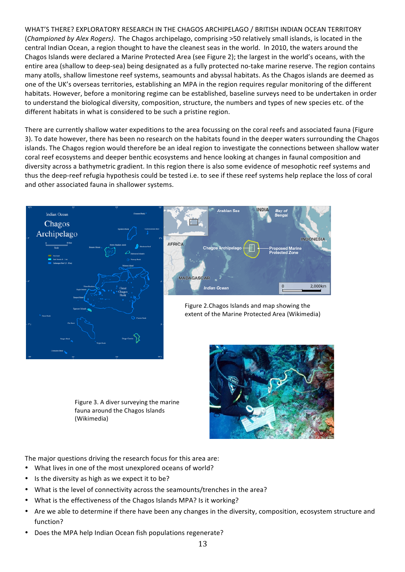WHAT'S THERE? EXPLORATORY RESEARCH IN THE CHAGOS ARCHIPELAGO / BRITISH INDIAN OCEAN TERRITORY (*Championed by Alex Rogers*). The Chagos archipelago, comprising >50 relatively small islands, is located in the central Indian Ocean, a region thought to have the cleanest seas in the world. In 2010, the waters around the Chagos Islands were declared a Marine Protected Area (see Figure 2); the largest in the world's oceans, with the entire area (shallow to deep-sea) being designated as a fully protected no-take marine reserve. The region contains many atolls, shallow limestone reef systems, seamounts and abyssal habitats. As the Chagos islands are deemed as one of the UK's overseas territories, establishing an MPA in the region requires regular monitoring of the different habitats. However, before a monitoring regime can be established, baseline surveys need to be undertaken in order to understand the biological diversity, composition, structure, the numbers and types of new species etc. of the different habitats in what is considered to be such a pristine region.

There are currently shallow water expeditions to the area focussing on the coral reefs and associated fauna (Figure 3). To date however, there has been no research on the habitats found in the deeper waters surrounding the Chagos islands. The Chagos region would therefore be an ideal region to investigate the connections between shallow water coral reef ecosystems and deeper benthic ecosystems and hence looking at changes in faunal composition and diversity across a bathymetric gradient. In this region there is also some evidence of mesophotic reef systems and thus the deep-reef refugia hypothesis could be tested i.e. to see if these reef systems help replace the loss of coral and other associated fauna in shallower systems.



Figure 3. A diver surveying the marine fauna around the Chagos Islands (Wikimedia)



The major questions driving the research focus for this area are:

- What lives in one of the most unexplored oceans of world?
- Is the diversity as high as we expect it to be?
- What is the level of connectivity across the seamounts/trenches in the area?
- What is the effectiveness of the Chagos Islands MPA? Is it working?
- Are we able to determine if there have been any changes in the diversity, composition, ecosystem structure and function?
- Does the MPA help Indian Ocean fish populations regenerate?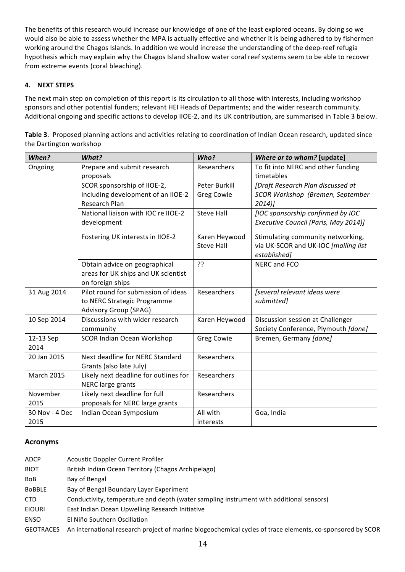The benefits of this research would increase our knowledge of one of the least explored oceans. By doing so we would also be able to assess whether the MPA is actually effective and whether it is being adhered to by fishermen working around the Chagos Islands. In addition we would increase the understanding of the deep-reef refugia hypothesis which may explain why the Chagos Island shallow water coral reef systems seem to be able to recover from extreme events (coral bleaching).

### **4. NEXT STEPS**

The next main step on completion of this report is its circulation to all those with interests, including workshop sponsors and other potential funders; relevant HEI Heads of Departments; and the wider research community. Additional ongoing and specific actions to develop IIOE-2, and its UK contribution, are summarised in Table 3 below.

| Table 3. Proposed planning actions and activities relating to coordination of Indian Ocean research, updated since |  |
|--------------------------------------------------------------------------------------------------------------------|--|
| the Dartington workshop                                                                                            |  |

| When?             | What?                                 | Who?              | Where or to whom? [update]           |
|-------------------|---------------------------------------|-------------------|--------------------------------------|
| Ongoing           | Prepare and submit research           | Researchers       | To fit into NERC and other funding   |
|                   | proposals                             |                   | timetables                           |
|                   | SCOR sponsorship of IIOE-2,           | Peter Burkill     | [Draft Research Plan discussed at    |
|                   | including development of an IIOE-2    | <b>Greg Cowie</b> | SCOR Workshop (Bremen, September     |
|                   | <b>Research Plan</b>                  |                   | $2014$ ]                             |
|                   | National liaison with IOC re IIOE-2   | <b>Steve Hall</b> | [IOC sponsorship confirmed by IOC    |
|                   | development                           |                   | Executive Council (Paris, May 2014)] |
|                   | Fostering UK interests in IIOE-2      | Karen Heywood     | Stimulating community networking,    |
|                   |                                       | <b>Steve Hall</b> | via UK-SCOR and UK-IOC [mailing list |
|                   |                                       |                   | established]                         |
|                   | Obtain advice on geographical         | ??                | NERC and FCO                         |
|                   | areas for UK ships and UK scientist   |                   |                                      |
|                   | on foreign ships                      |                   |                                      |
| 31 Aug 2014       | Pilot round for submission of ideas   | Researchers       | [several relevant ideas were         |
|                   | to NERC Strategic Programme           |                   | submitted]                           |
|                   | Advisory Group (SPAG)                 |                   |                                      |
| 10 Sep 2014       | Discussions with wider research       | Karen Heywood     | Discussion session at Challenger     |
|                   | community                             |                   | Society Conference, Plymouth [done]  |
| 12-13 Sep         | <b>SCOR Indian Ocean Workshop</b>     | <b>Greg Cowie</b> | Bremen, Germany [done]               |
| 2014              |                                       |                   |                                      |
| 20 Jan 2015       | Next deadline for NERC Standard       | Researchers       |                                      |
|                   | Grants (also late July)               |                   |                                      |
| <b>March 2015</b> | Likely next deadline for outlines for | Researchers       |                                      |
|                   | NERC large grants                     |                   |                                      |
| November          | Likely next deadline for full         | Researchers       |                                      |
| 2015              | proposals for NERC large grants       |                   |                                      |
| 30 Nov - 4 Dec    | Indian Ocean Symposium                | All with          | Goa, India                           |
| 2015              |                                       | interests         |                                      |

# **Acronyms**

| <b>ADCP</b>      | <b>Acoustic Doppler Current Profiler</b>                                                                  |
|------------------|-----------------------------------------------------------------------------------------------------------|
| <b>BIOT</b>      | British Indian Ocean Territory (Chagos Archipelago)                                                       |
| <b>BoB</b>       | Bay of Bengal                                                                                             |
| <b>BOBBLE</b>    | Bay of Bengal Boundary Layer Experiment                                                                   |
| <b>CTD</b>       | Conductivity, temperature and depth (water sampling instrument with additional sensors)                   |
| <b>EIOURI</b>    | East Indian Ocean Upwelling Research Initiative                                                           |
| <b>ENSO</b>      | El Niño Southern Oscillation                                                                              |
| <b>GEOTRACES</b> | An international research project of marine biogeochemical cycles of trace elements, co-sponsored by SCOR |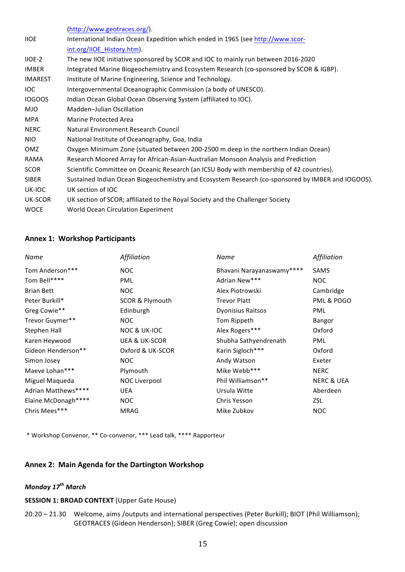|                | (http://www.geotraces.org/).                                                                      |
|----------------|---------------------------------------------------------------------------------------------------|
| <b>IIOE</b>    | International Indian Ocean Expedition which ended in 1965 (see http://www.scor-                   |
|                | int.org/IIOE History.htm).                                                                        |
| IIOE-2         | The new IIOE initiative sponsored by SCOR and IOC to mainly run between 2016-2020                 |
| <b>IMBER</b>   | Integrated Marine Biogeochemistry and Ecosystem Research (co-sponsored by SCOR & IGBP).           |
| <b>IMAREST</b> | Institute of Marine Engineering, Science and Technology.                                          |
| <b>IOC</b>     | Intergovernmental Oceanographic Commission (a body of UNESCO).                                    |
| <b>IOGOOS</b>  | Indian Ocean Global Ocean Observing System (affiliated to IOC).                                   |
| <b>MJO</b>     | Madden-Julian Oscillation                                                                         |
| <b>MPA</b>     | Marine Protected Area                                                                             |
| <b>NERC</b>    | Natural Environment Research Council                                                              |
| <b>NIO</b>     | National Institute of Oceanography, Goa, India                                                    |
| OMZ            | Oxygen Minimum Zone (situated between 200-2500 m deep in the northern Indian Ocean)               |
| RAMA           | Research Moored Array for African-Asian-Australian Monsoon Analysis and Prediction                |
| <b>SCOR</b>    | Scientific Committee on Oceanic Research (an ICSU Body with membership of 42 countries).          |
| <b>SIBER</b>   | Sustained Indian Ocean Biogeochemistry and Ecosystem Research (co-sponsored by IMBER and IOGOOS). |
| UK-IOC         | UK section of IOC                                                                                 |
| UK-SCOR        | UK section of SCOR; affiliated to the Royal Society and the Challenger Society                    |
| <b>WOCE</b>    | World Ocean Circulation Experiment                                                                |
|                |                                                                                                   |

### **Annex 1: Workshop Participants**

| <b>Name</b>         | Affiliation                | Name                      | Affiliation           |
|---------------------|----------------------------|---------------------------|-----------------------|
| Tom Anderson***     | NOC                        | Bhavani Narayanaswamy**** | SAMS                  |
| Tom Bell****        | <b>PML</b>                 | Adrian New***             | <b>NOC</b>            |
| <b>Brian Bett</b>   | <b>NOC</b>                 | Alex Piotrowski           | Cambridge             |
| Peter Burkill*      | <b>SCOR &amp; Plymouth</b> | <b>Trevor Platt</b>       | PML & POGO            |
| Greg Cowie**        | Edinburgh                  | <b>Dyonisius Raitsos</b>  | <b>PML</b>            |
| Trevor Guymer**     | <b>NOC</b>                 | Tom Rippeth               | Bangor                |
| Stephen Hall        | <b>NOC &amp; UK-IOC</b>    | Alex Rogers***            | Oxford                |
| Karen Heywood       | <b>UEA &amp; UK-SCOR</b>   | Shubha Sathyendrenath     | PML                   |
| Gideon Henderson**  | Oxford & UK-SCOR           | Karin Sigloch***          | Oxford                |
| Simon Josey         | <b>NOC</b>                 | Andy Watson               | Exeter                |
| Maeve Lohan***      | Plymouth                   | Mike Webb***              | <b>NERC</b>           |
| Miguel Maqueda      | NOC Liverpool              | Phil Williamson**         | <b>NERC &amp; UEA</b> |
| Adrian Matthews**** | <b>UEA</b>                 | Ursula Witte              | Aberdeen              |
| Elaine McDonagh**** | <b>NOC</b>                 | Chris Yesson              | ZSL                   |
| Chris Mees***       | <b>MRAG</b>                | Mike Zubkov               | <b>NOC</b>            |

\* Workshop Convenor, \*\* Co-convenor, \*\*\* Lead talk, \*\*\*\* Rapporteur

# **Annex 2: Main Agenda for the Dartington Workshop**

# *Monday* 17<sup>th</sup> March

#### **SESSION 1: BROAD CONTEXT** (Upper Gate House)

20:20 - 21.30 Welcome, aims /outputs and international perspectives (Peter Burkill); BIOT (Phil Williamson); GEOTRACES (Gideon Henderson); SIBER (Greg Cowie); open discussion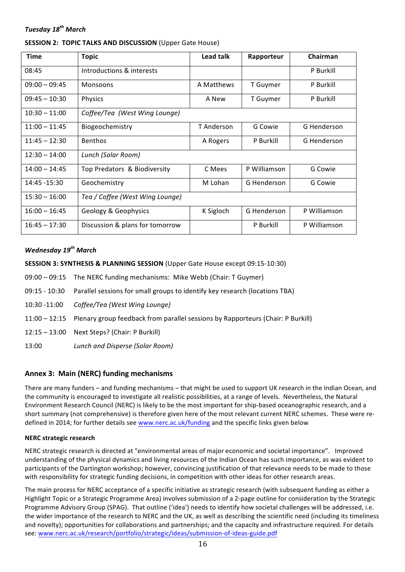### *Tuesday 18th March*

| <b>Time</b>                       | <b>Topic</b>                    | Lead talk  | Rapporteur   | Chairman     |
|-----------------------------------|---------------------------------|------------|--------------|--------------|
| 08:45                             | Introductions & interests       |            |              | P Burkill    |
| $09:00 - 09:45$                   | Monsoons                        | A Matthews | T Guymer     | P Burkill    |
| $09:45 - 10:30$                   | Physics                         |            | T Guymer     | P Burkill    |
| $10:30 - 11:00$                   | Coffee/Tea (West Wing Lounge)   |            |              |              |
| $11:00 - 11:45$                   | Biogeochemistry                 | T Anderson | G Cowie      | G Henderson  |
| <b>Benthos</b><br>$11:45 - 12:30$ |                                 | A Rogers   | P Burkill    | G Henderson  |
| $12:30 - 14:00$                   | Lunch (Solar Room)              |            |              |              |
| $14:00 - 14:45$                   | Top Predators & Biodiversity    | C Mees     | P Williamson | G Cowie      |
| 14:45 -15:30                      | Geochemistry                    | M Lohan    | G Henderson  | G Cowie      |
| $15:30 - 16:00$                   | Tea / Coffee (West Wing Lounge) |            |              |              |
| $16:00 - 16:45$                   | Geology & Geophysics            | K Sigloch  | G Henderson  | P Williamson |
| $16:45 - 17:30$                   | Discussion & plans for tomorrow |            | P Burkill    | P Williamson |

#### *Wednesday 19th March*

**SESSION 3: SYNTHESIS & PLANNING SESSION (Upper Gate House except 09:15-10:30)** 

- 09:00 09:15 The NERC funding mechanisms: Mike Webb (Chair: T Guymer)
- 09:15 10:30 Parallel sessions for small groups to identify key research (locations TBA)
- 10:30 -11:00 *Coffee/Tea (West Wing Lounge)*
- 11:00 12:15 Plenary group feedback from parallel sessions by Rapporteurs (Chair: P Burkill)
- 12:15 13:00 Next Steps? (Chair: P Burkill)
- 13:00 *Lunch and Disperse (Solar Room)*

### Annex 3: Main (NERC) funding mechanisms

There are many funders – and funding mechanisms – that might be used to support UK research in the Indian Ocean, and the community is encouraged to investigate all realistic possibilities, at a range of levels. Nevertheless, the Natural Environment Research Council (NERC) is likely to be the most important for ship-based oceanographic research, and a short summary (not comprehensive) is therefore given here of the most relevant current NERC schemes. These were redefined in 2014; for further details see www.nerc.ac.uk/funding and the specific links given below

#### **NERC strategic research**

NERC strategic research is directed at "environmental areas of major economic and societal importance". Improved understanding of the physical dynamics and living resources of the Indian Ocean has such importance, as was evident to participants of the Dartington workshop; however, convincing justification of that relevance needs to be made to those with responsibility for strategic funding decisions, in competition with other ideas for other research areas.

The main process for NERC acceptance of a specific initiative as strategic research (with subsequent funding as either a Highlight Topic or a Strategic Programme Area) involves submission of a 2-page outline for consideration by the Strategic Programme Advisory Group (SPAG). That outline ('idea') needs to identify how societal challenges will be addressed, i.e. the wider importance of the research to NERC and the UK, as well as describing the scientific need (including its timeliness and novelty); opportunities for collaborations and partnerships; and the capacity and infrastructure required. For details see: www.nerc.ac.uk/research/portfolio/strategic/ideas/submission-of-ideas-guide.pdf